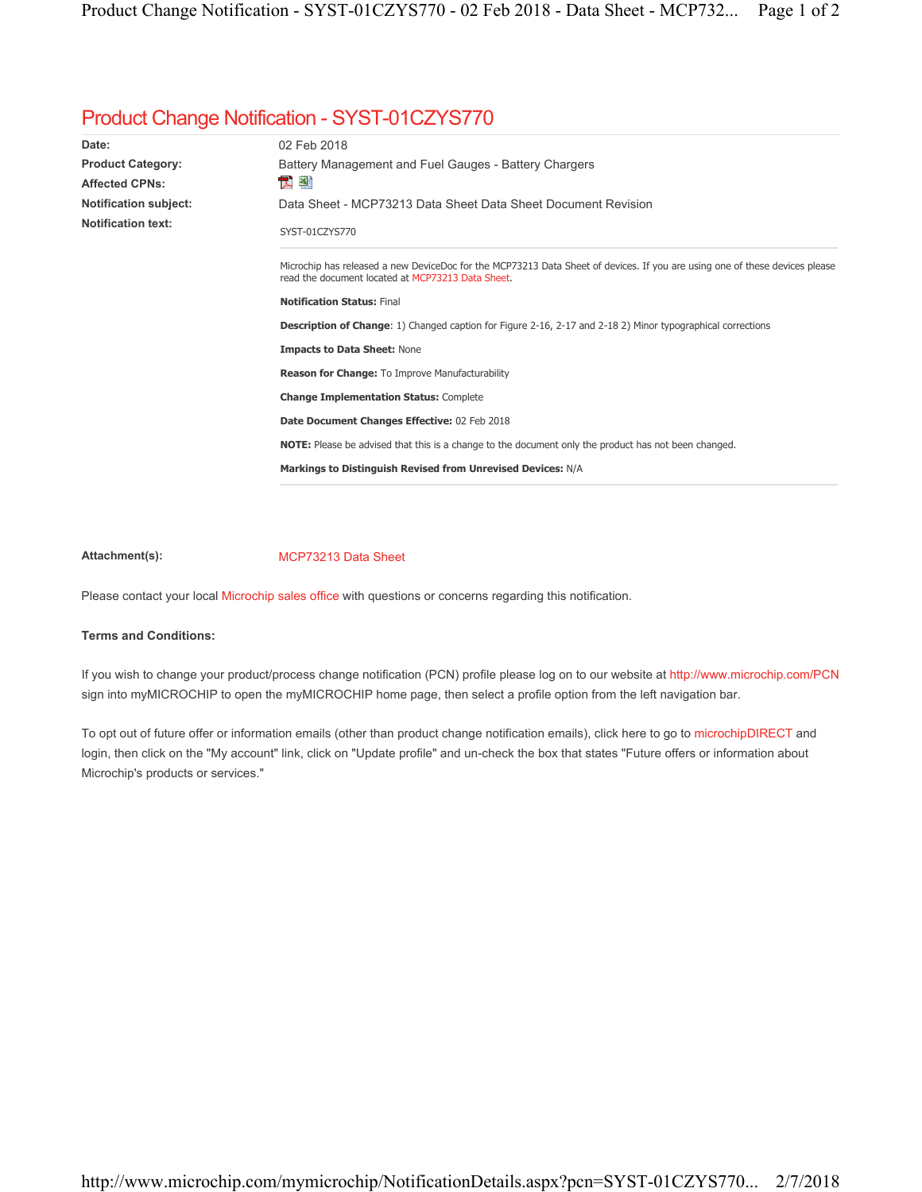## Product Change Notification - SYST-01CZYS770

| Date:                        | 02 Feb 2018                                                                                                                                                                      |
|------------------------------|----------------------------------------------------------------------------------------------------------------------------------------------------------------------------------|
| <b>Product Category:</b>     | Battery Management and Fuel Gauges - Battery Chargers                                                                                                                            |
| Affected CPNs:               | 쫼<br>人                                                                                                                                                                           |
| <b>Notification subject:</b> | Data Sheet - MCP73213 Data Sheet Data Sheet Document Revision                                                                                                                    |
| <b>Notification text:</b>    | SYST-01CZYS770                                                                                                                                                                   |
|                              | Microchip has released a new DeviceDoc for the MCP73213 Data Sheet of devices. If you are using one of these devices please<br>read the document located at MCP73213 Data Sheet. |
|                              | <b>Notification Status: Final</b>                                                                                                                                                |
|                              | <b>Description of Change:</b> 1) Changed caption for Figure 2-16, 2-17 and 2-18 2) Minor typographical corrections                                                               |
|                              | <b>Impacts to Data Sheet: None</b>                                                                                                                                               |
|                              | Reason for Change: To Improve Manufacturability                                                                                                                                  |
|                              | <b>Change Implementation Status: Complete</b>                                                                                                                                    |
|                              | Date Document Changes Effective: 02 Feb 2018                                                                                                                                     |
|                              | <b>NOTE:</b> Please be advised that this is a change to the document only the product has not been changed.                                                                      |
|                              | Markings to Distinguish Revised from Unrevised Devices: N/A                                                                                                                      |
|                              |                                                                                                                                                                                  |

## Attachment(s): MCP73213 Data Sheet

Please contact your local Microchip sales office with questions or concerns regarding this notification.

## **Terms and Conditions:**

If you wish to change your product/process change notification (PCN) profile please log on to our website at http://www.microchip.com/PCN sign into myMICROCHIP to open the myMICROCHIP home page, then select a profile option from the left navigation bar.

To opt out of future offer or information emails (other than product change notification emails), click here to go to microchipDIRECT and login, then click on the "My account" link, click on "Update profile" and un-check the box that states "Future offers or information about Microchip's products or services."